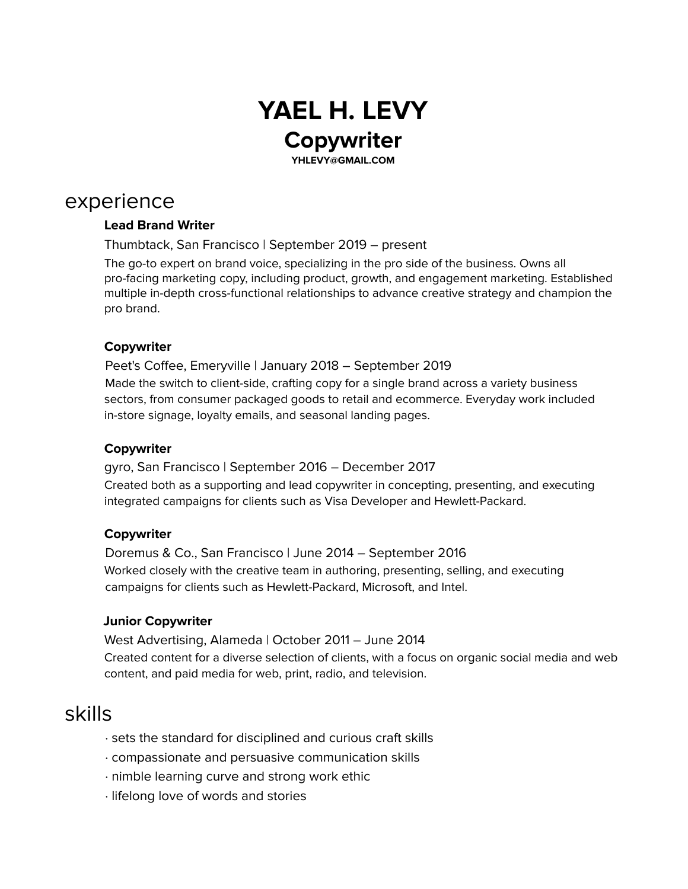# **YAEL H. LEVY Copywriter YHLEVY@GMAIL.COM**

### experience

### **Lead Brand Writer**

Thumbtack, San Francisco | September 2019 – present

The go-to expert on brand voice, specializing in the pro side of the business. Owns all pro-facing marketing copy, including product, growth, and engagement marketing. Established multiple in-depth cross-functional relationships to advance creative strategy and champion the pro brand.

### **Copywriter**

Peet's Coffee, Emeryville | January 2018 – September 2019 Made the switch to client-side, crafting copy for a single brand across a variety business sectors, from consumer packaged goods to retail and ecommerce. Everyday work included in-store signage, loyalty emails, and seasonal landing pages.

#### **Copywriter**

gyro, San Francisco | September 2016 – December 2017 Created both as a supporting and lead copywriter in concepting, presenting, and executing integrated campaigns for clients such as Visa Developer and Hewlett-Packard.

### **Copywriter**

Doremus & Co., San Francisco | June 2014 – September 2016 Worked closely with the creative team in authoring, presenting, selling, and executing campaigns for clients such as Hewlett-Packard, Microsoft, and Intel.

#### **Junior Copywriter**

West Advertising, Alameda | October 2011 – June 2014 Created content for a diverse selection of clients, with a focus on organic social media and web content, and paid media for web, print, radio, and television.

# skills

- ∙ sets the standard for disciplined and curious craft skills
- ∙ compassionate and persuasive communication skills
- ∙ nimble learning curve and strong work ethic
- ∙ lifelong love of words and stories